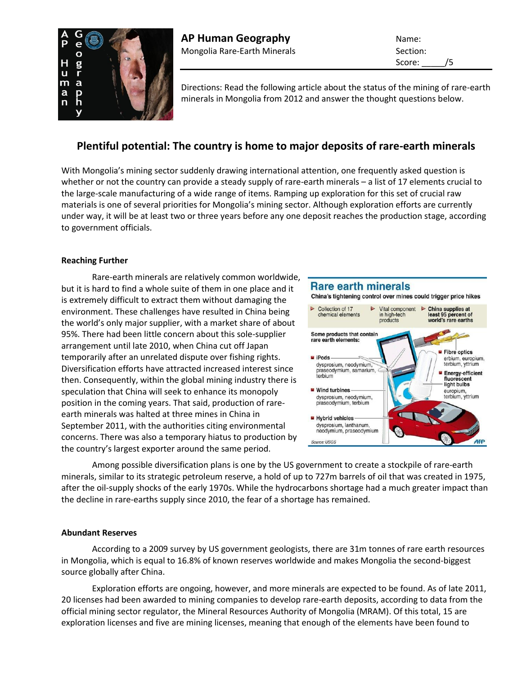

Score: /5

Directions: Read the following article about the status of the mining of rare-earth minerals in Mongolia from 2012 and answer the thought questions below.

# **Plentiful potential: The country is home to major deposits of rare-earth minerals**

With Mongolia's mining sector suddenly drawing international attention, one frequently asked question is whether or not the country can provide a steady supply of rare-earth minerals – a list of 17 elements crucial to the large-scale manufacturing of a wide range of items. Ramping up exploration for this set of crucial raw materials is one of several priorities for Mongolia's mining sector. Although exploration efforts are currently under way, it will be at least two or three years before any one deposit reaches the production stage, according to government officials.

## **Reaching Further**

Rare-earth minerals are relatively common worldwide, but it is hard to find a whole suite of them in one place and it is extremely difficult to extract them without damaging the environment. These challenges have resulted in China being the world's only major supplier, with a market share of about 95%. There had been little concern about this sole-supplier arrangement until late 2010, when China cut off Japan temporarily after an unrelated dispute over fishing rights. Diversification efforts have attracted increased interest since then. Consequently, within the global mining industry there is speculation that China will seek to enhance its monopoly position in the coming years. That said, production of rareearth minerals was halted at three mines in China in September 2011, with the authorities citing environmental concerns. There was also a temporary hiatus to production by the country's largest exporter around the same period.



Among possible diversification plans is one by the US government to create a stockpile of rare-earth minerals, similar to its strategic petroleum reserve, a hold of up to 727m barrels of oil that was created in 1975, after the oil-supply shocks of the early 1970s. While the hydrocarbons shortage had a much greater impact than the decline in rare-earths supply since 2010, the fear of a shortage has remained.

## **Abundant Reserves**

According to a 2009 survey by US government geologists, there are 31m tonnes of rare earth resources in Mongolia, which is equal to 16.8% of known reserves worldwide and makes Mongolia the second-biggest source globally after China.

Exploration efforts are ongoing, however, and more minerals are expected to be found. As of late 2011, 20 licenses had been awarded to mining companies to develop rare-earth deposits, according to data from the official mining sector regulator, the Mineral Resources Authority of Mongolia (MRAM). Of this total, 15 are exploration licenses and five are mining licenses, meaning that enough of the elements have been found to